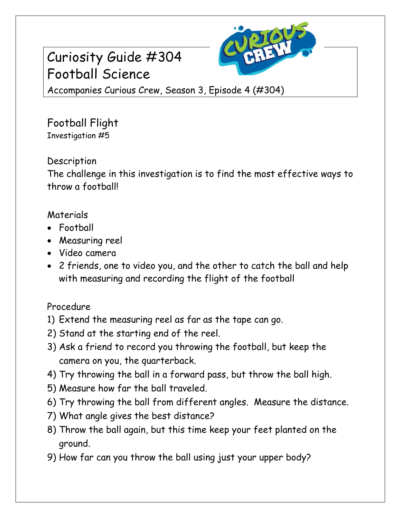# Curiosity Guide #304 Football Science



Accompanies Curious Crew, Season 3, Episode 4 (#304)

Football Flight Investigation #5

### **Description**

The challenge in this investigation is to find the most effective ways to throw a football!

### Materials

- Football
- Measuring reel
- Video camera
- 2 friends, one to video you, and the other to catch the ball and help with measuring and recording the flight of the football

## Procedure

- 1) Extend the measuring reel as far as the tape can go.
- 2) Stand at the starting end of the reel.
- 3) Ask a friend to record you throwing the football, but keep the camera on you, the quarterback.
- 4) Try throwing the ball in a forward pass, but throw the ball high.
- 5) Measure how far the ball traveled.
- 6) Try throwing the ball from different angles. Measure the distance.
- 7) What angle gives the best distance?
- 8) Throw the ball again, but this time keep your feet planted on the ground.
- 9) How far can you throw the ball using just your upper body?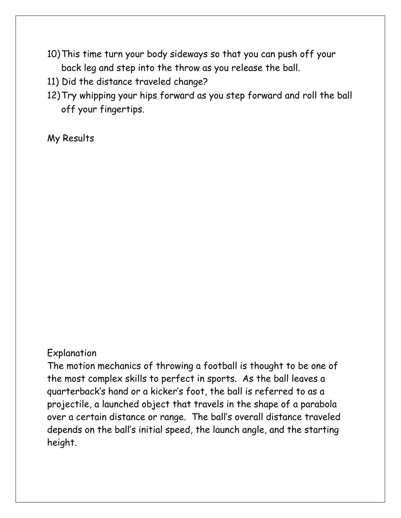- 10)This time turn your body sideways so that you can push off your back leg and step into the throw as you release the ball.
- 11) Did the distance traveled change?
- 12)Try whipping your hips forward as you step forward and roll the ball off your fingertips.

My Results

#### Explanation

The motion mechanics of throwing a football is thought to be one of the most complex skills to perfect in sports. As the ball leaves a quarterback's hand or a kicker's foot, the ball is referred to as a projectile, a launched object that travels in the shape of a parabola over a certain distance or range. The ball's overall distance traveled depends on the ball's initial speed, the launch angle, and the starting height.